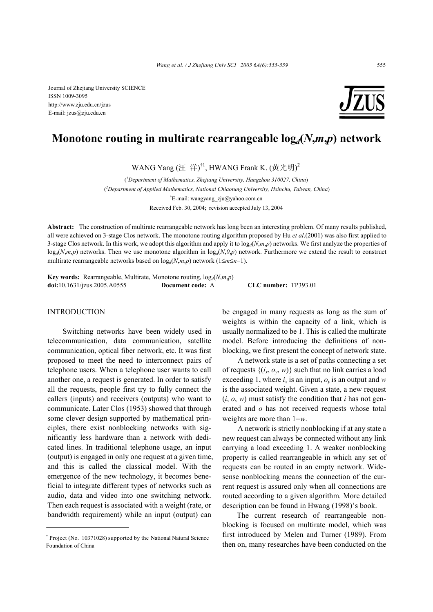Journal of Zhejiang University SCIENCE ISSN 1009-3095 http://www.zju.edu.cn/jzus E-mail: jzus@zju.edu.cn



# **Monotone routing in multirate rearrangeable log***d***(***N***,***m***,***p***) network**

WANG Yang (汪 洋) $^{\dagger 1}$ , HWANG Frank K. (黄光明)<sup>2</sup>

( *1 Department of Mathematics, Zhejiang University, Hangzhou 310027, China*) (*2 Department of Applied Mathematics, National Chiaotung University, Hsinchu, Taiwan, China*) <sup>†</sup>E-mail: wangyang\_zju@yahoo.com.cn Received Feb. 30, 2004; revision accepted July 13, 2004

**Abstract:** The construction of multirate rearrangeable network has long been an interesting problem. Of many results published, all were achieved on 3-stage Clos network. The monotone routing algorithm proposed by Hu *et al*.(2001) was also first applied to 3-stage Clos network. In this work, we adopt this algorithm and apply it to  $\log_d(N,m,p)$  networks. We first analyze the properties of  $log_d(N,m,p)$  networks. Then we use monotone algorithm in  $log_d(N,0,p)$  network. Furthermore we extend the result to construct multirate rearrangeable networks based on log*d*(*N*,*m*,*p*) network (1≤*m*≤*n*−1).

**Key words:** Rearrangeable, Multirate, Monotone routing,  $log_d(N, m, p)$ **doi:**10.1631/jzus.2005.A0555 **Document code:** A **CLC number:** TP393.01

#### INTRODUCTION

Switching networks have been widely used in telecommunication, data communication, satellite communication, optical fiber network, etc. It was first proposed to meet the need to interconnect pairs of telephone users. When a telephone user wants to call another one, a request is generated. In order to satisfy all the requests, people first try to fully connect the callers (inputs) and receivers (outputs) who want to communicate. Later Clos (1953) showed that through some clever design supported by mathematical principles, there exist nonblocking networks with significantly less hardware than a network with dedicated lines. In traditional telephone usage, an input (output) is engaged in only one request at a given time, and this is called the classical model. With the emergence of the new technology, it becomes beneficial to integrate different types of networks such as audio, data and video into one switching network. Then each request is associated with a weight (rate, or bandwidth requirement) while an input (output) can

be engaged in many requests as long as the sum of weights is within the capacity of a link, which is usually normalized to be 1. This is called the multirate model. Before introducing the definitions of nonblocking, we first present the concept of network state.

A network state is a set of paths connecting a set of requests  $\{(i_x, o_y, w)\}\$  such that no link carries a load exceeding 1, where  $i_x$  is an input,  $o_y$  is an output and *w* is the associated weight. Given a state, a new request  $(i, o, w)$  must satisfy the condition that *i* has not generated and *o* has not received requests whose total weights are more than 1−*w*.

A network is strictly nonblocking if at any state a new request can always be connected without any link carrying a load exceeding 1. A weaker nonblocking property is called rearrangeable in which any set of requests can be routed in an empty network. Widesense nonblocking means the connection of the current request is assured only when all connections are routed according to a given algorithm. More detailed description can be found in Hwang (1998)'s book.

The current research of rearrangeable nonblocking is focused on multirate model, which was first introduced by Melen and Turner (1989). From then on, many researches have been conducted on the

<sup>\*</sup> Project (No. 10371028) supported by the National Natural Science Foundation of China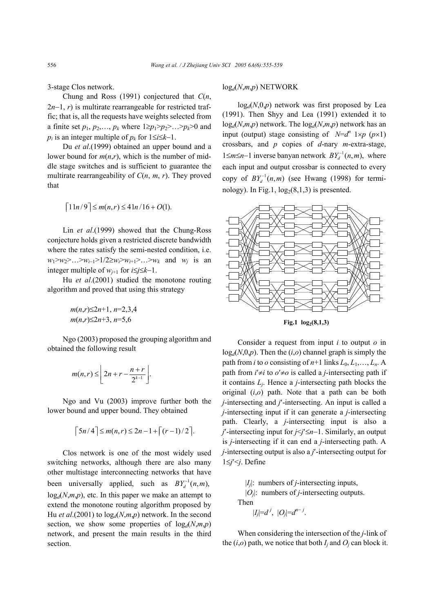3-stage Clos network.

Chung and Ross (1991) conjectured that *C*(*n*, 2*n*−1, *r*) is multirate rearrangeable for restricted traffic; that is, all the requests have weights selected from a finite set  $p_1, p_2,..., p_k$  where  $1 \ge p_1 > p_2 > ... > p_k > 0$  and *p<sub>i</sub>* is an integer multiple of  $p_k$  for  $1 \leq i \leq k-1$ .

Du *et al*.(1999) obtained an upper bound and a lower bound for  $m(n,r)$ , which is the number of middle stage switches and is sufficient to guarantee the multirate rearrangeability of *C*(*n*, *m*, *r*). They proved that

$$
\lceil 1 \ln/9 \rceil \le m(n,r) \le 4 \ln/16 + O(1).
$$

Lin *et al*.(1999) showed that the Chung-Ross conjecture holds given a restricted discrete bandwidth where the rates satisfy the semi-nested condition, i.e. *w*<sub>1</sub>>*w*<sub>2</sub>>…>*w*<sub>*i*-1</sub>>1/2≥*w<sub>i</sub>*>*w<sub>i+1</sub>>…>w<sub>k</sub>* and *w<sub>i</sub>* is an integer multiple of  $w_{i+1}$  for  $i≤j≤k-1$ .

Hu *et al*.(2001) studied the monotone routing algorithm and proved that using this strategy

$$
m(n,r) \le 2n+1, n=2,3,4
$$
  
 
$$
m(n,r) \le 2n+3, n=5,6
$$

Ngo (2003) proposed the grouping algorithm and obtained the following result

$$
m(n,r) \leq \left\lfloor 2n + r - \frac{n+r}{2^{k-1}} \right\rfloor.
$$

Ngo and Vu (2003) improve further both the lower bound and upper bound. They obtained

$$
\lceil 5n/4 \rceil \leq m(n,r) \leq 2n-1+\lceil (r-1)/2 \rceil.
$$

Clos network is one of the most widely used switching networks, although there are also many other multistage interconnecting networks that have been universally applied, such as  $BY<sub>d</sub><sup>-1</sup>(n,m)$ ,  $log_d(N,m,p)$ , etc. In this paper we make an attempt to extend the monotone routing algorithm proposed by Hu *et al*.(2001) to log*d*(*N*,*m*,*p*) network. In the second section, we show some properties of  $log_d(N,m,p)$ network, and present the main results in the third section.

#### log*d*(*N*,*m*,*p*) NETWORK

 $log_d(N,0,p)$  network was first proposed by Lea (1991). Then Shyy and Lea (1991) extended it to  $log_d(N,m,p)$  network. The  $log_d(N,m,p)$  network has an input (output) stage consisting of  $N=d^n \, 1 \times p \, (p \times 1)$ crossbars, and *p* copies of *d*-nary *m*-extra-stage, 1≤*m*≤*n*−1 inverse banyan network  $BY_d^{-1}(n, m)$ , where each input and output crossbar is connected to every copy of  $BY<sub>d</sub><sup>-1</sup>(n,m)$  (see Hwang (1998) for terminology). In Fig.1,  $log_2(8,1,3)$  is presented.



**Fig.1**  $log_2(8,1,3)$ 

Consider a request from input *i* to output *o* in  $log_d(N,0,p)$ . Then the  $(i,o)$  channel graph is simply the path from *i* to *o* consisting of  $n+1$  links  $L_0, L_1, \ldots, L_n$ . path from  $i' \neq i$  to  $o' \neq o$  is called a *j*-intersecting path if it contains *Lj*. Hence a *j*-intersecting path blocks the original (*i*,*o*) path. Note that a path can be both *j*-intersecting and *j*′-intersecting. An input is called a *j*-intersecting input if it can generate a *j*-intersecting path. Clearly, a *j*-intersecting input is also a *j*′-intersecting input for *j*<*j*′≤*n*−1. Similarly, an output is *j*-intersecting if it can end a *j*-intersecting path. A *j*-intersecting output is also a *j*′-intersecting output for 1≤*j*′<*j*. Define

> |*Ij*|: numbers of *j*-intersecting inputs, |*Oj*|: numbers of *j*-intersecting outputs.

Then

$$
|I_j|=d^j, \ |O_j|=d^{n-j}.
$$

When considering the intersection of the *j*-link of the  $(i, o)$  path, we notice that both  $I_i$  and  $O_i$  can block it.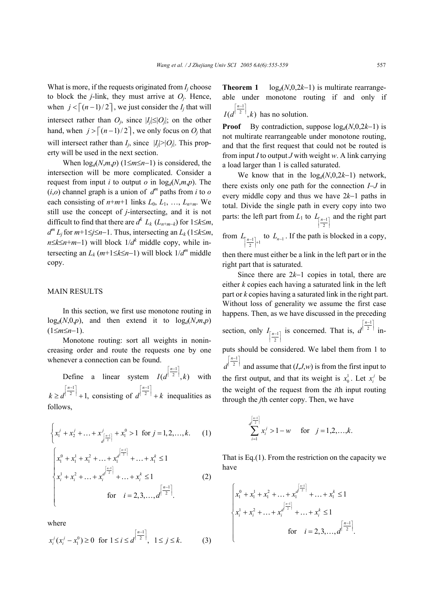What is more, if the requests originated from  $I_i$  choose to block the  $j$ -link, they must arrive at  $O_j$ . Hence, when  $j < [(n-1)/2]$ , we just consider the  $I_i$  that will intersect rather than  $O_j$ , since  $|I_j| \leq |O_j|$ ; on the other hand, when  $j > [(n-1)/2]$ , we only focus on  $O_i$  that will intersect rather than  $I_i$ , since  $|I_i| > |O_i|$ . This property will be used in the next section.

When  $log_d(N,m,p)$  (1≤*m*≤*n*−1) is considered, the intersection will be more complicated. Consider a request from input *i* to output *o* in  $log_d(N,m,p)$ . The  $(i, o)$  channel graph is a union of  $d^m$  paths from *i* to *o* each consisting of  $n+m+1$  links  $L_0, L_1, ..., L_{n+m}$ . We still use the concept of *j*-intersecting, and it is not difficult to find that there are  $d^k L_k$  ( $L_{n+m-k}$ ) for 1≤*k*≤*m*, *d*<sup>*m*</sup> *L<sub>i</sub>* for  $m+1 \leq j \leq n-1$ . Thus, intersecting an *L<sub>k</sub>* (1≤*k*≤*m*, *n*≤*k*≤*n*+*m*−1) will block 1/*d*<sup>*k*</sup> middle copy, while intersecting an  $L_k$  ( $m+1 \le k \le n-1$ ) will block  $1/d^m$  middle copy.

#### MAIN RESULTS

In this section, we first use monotone routing in  $log_d(N,0,p)$ , and then extend it to  $log_d(N,m,p)$ (1≤*m*≤*n*−1).

Monotone routing: sort all weights in nonincreasing order and route the requests one by one whenever a connection can be found.

Define a linear system 1  $(d^{1/2-1},k)$ *n*  $I(d^{\left[\frac{n-1}{2}\right]},k)$  with 1  $^{2}$  + 1, *n*  $k \geq d^{\left\lceil \frac{n-1}{2} \right\rceil} + 1$ , consisting of  $d^{\left\lceil \frac{n-1}{2} \right\rceil}$ 2 *n*  $d^{\left[\frac{n-1}{2}\right]} + k$  inequalities as follows,

$$
\begin{cases} x_1^j + x_2^j + \dots + x_{d}^j = x_1^0 > 1 & \text{for } j = 1, 2, \dots, k. \end{cases} (1)
$$

$$
\begin{vmatrix} x_1^0 + x_1^1 + x_1^2 + \dots + x_1^{d^{i-2}} + \dots + x_1^k \le 1 \\ x_i^1 + x_i^2 + \dots + x_i^{d^{i-1}} + \dots + x_i^k \le 1 \\ \text{for} \quad i = 2, 3, \dots, d^{\left[\frac{n-1}{2}\right]} . \end{vmatrix}
$$
 (2)

where

$$
x_i^j(x_i^j - x_1^0) \ge 0 \text{ for } 1 \le i \le d^{\left[\frac{n-1}{2}\right]}, \quad 1 \le j \le k. \tag{3}
$$

**Theorem 1**  $log_d(N,0,2k-1)$  is multirate rearrangeable under monotone routing if and only if 1 *n*  $I(d^{\left[\frac{n-1}{2}\right]},k)$  has no solution.

 $(d^{1/2-1},k)$ 

**Proof** By contradiction, suppose  $log_d(N,0,2k-1)$  is not multirate rearrangeable under monotone routing, and that the first request that could not be routed is from input *I* to output *J* with weight *w*. A link carrying a load larger than 1 is called saturated.

We know that in the log*d*(*N*,0,2*k*−1) network, there exists only one path for the connection *I*−*J* in every middle copy and thus we have 2*k*−1 paths in total. Divide the single path in every copy into two parts: the left part from *L*<sub>1</sub> to  $L_{\left[\frac{n-1}{2}\right]}$  and the right part 2

from  $L_{\left[\frac{n-1}{2}\right]+1}$  $\frac{n-1}{2}$  + to  $L_{n-1}$ . If the path is blocked in a copy,

then there must either be a link in the left part or in the right part that is saturated.

Since there are 2*k*−1 copies in total, there are either *k* copies each having a saturated link in the left part or *k* copies having a saturated link in the right part. Without loss of generality we assume the first case happens. Then, as we have discussed in the preceding section, only  $I_{\lceil n-1\rceil}$  $I_{\left[\frac{n-1}{2}\right]}$  is concerned. That is, 1 2 *n*  $d^{\left\lceil \frac{n-1}{2} \right\rceil}$  inputs should be considered. We label them from 1 to 1 2 *n*  $d^{\left[\frac{n-1}{2}\right]}$  and assume that  $(I, J, w)$  is from the first input to the first output, and that its weight is  $x_0^1$ . Let  $x_i^j$  be the weight of the request from the *i*th input routing through the *j*th center copy. Then, we have

$$
\sum_{i=1}^{\left[\frac{n-1}{2}\right]} x_i^j > 1 - w \quad \text{for} \quad j = 1, 2, \dots, k.
$$

That is Eq.(1). From the restriction on the capacity we have

$$
\begin{cases} x_1^0 + x_1^1 + x_1^2 + \dots + x_t^{d^{\left[\frac{n-1}{2}\right]}} + \dots + x_1^k \le 1 \\ x_i^1 + x_i^2 + \dots + x_t^{d^{\left[\frac{n-1}{2}\right]}} + \dots + x_t^k \le 1 \\ \text{for} \quad i = 2, 3, \dots, d^{\left[\frac{n-1}{2}\right]} .\end{cases}
$$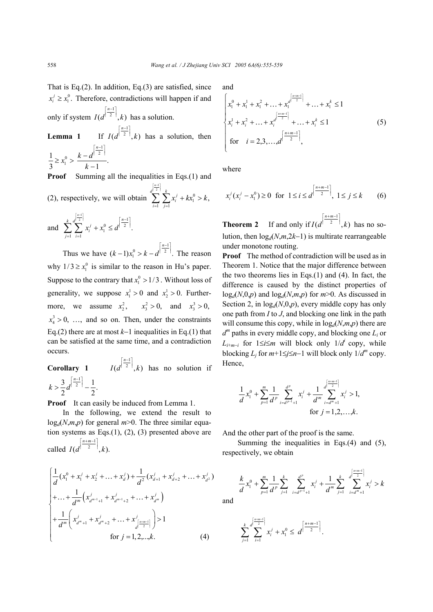That is Eq.(2). In addition, Eq.(3) are satisfied, since  $x_i^j \ge x_i^0$ . Therefore, contradictions will happen if and only if system 1  $(d^{1/2-1},k)$ *n*  $I(d^{\left[\frac{n-1}{2}\right]},k)$  has a solution.

Lemma 1 1  $(d^{1/2-1},k)$ *n*  $I(d^{\left[\frac{n-1}{2}\right]},k)$  has a solution, then  $-d^{\left\lceil \frac{n-1}{2} \right\rceil}$ 

$$
\frac{1}{3} \ge x_1^0 > \frac{k - d^{\left| \frac{2}{2} \right|}}{k - 1}.
$$

**Proof** Summing all the inequalities in Eqs.(1) and

(2), respectively, we will obtain 
$$
\sum_{i=1}^{\lfloor \frac{n-1}{2} \rfloor} \sum_{j=1}^{k} x_i^j + kx_1^0 > k,
$$

and 
$$
\sum_{j=1}^{k} \sum_{i=1}^{\lfloor \frac{n-1}{2} \rfloor} x_i^j + x_1^0 \leq d^{\left\lceil \frac{n-1}{2} \right\rceil}.
$$

Thus we have 1  $(k-1)x_1^0 > k - d^{1-2}$ . *n*  $(k-1)x_1^0 > k-d^{\left[\frac{n-1}{2}\right]}$ . The reason why  $1/3 \ge x_1^0$  is similar to the reason in Hu's paper. Suppose to the contrary that  $x_1^0 > 1/3$ . Without loss of generality, we suppose  $x_1^1 > 0$  and  $x_2^1 > 0$ . Furthermore, we assume  $x_2^2$ ,  $x_3^2 > 0$ , and  $x_3^3 > 0$ ,  $x_4^3 > 0$ , ..., and so on. Then, under the constraints Eq.(2) there are at most *k*−1 inequalities in Eq.(1) that can be satisfied at the same time, and a contradiction occurs.

**Corollary 1**  1  $(d^{1/2-1},k)$ *n*  $I(d^{\left[\frac{n-1}{2}\right]},k)$  has no solution if  $\frac{3}{2}d^{\left[\frac{n-1}{2}\right]}-\frac{1}{2}.$  $k > \frac{3}{2} d^{\left\lceil \frac{n-1}{2} \right\rceil} -$ 

**Proof** It can easily be induced from Lemma 1.

In the following, we extend the result to  $log_d(N,m,p)$  for general  $m>0$ . The three similar equation systems as Eqs.(1), (2), (3) presented above are called 1  $(d^{1 \ 2 \ 1},k).$ *n m*  $I(d^{\left|\frac{n+m-1}{2}\right|},k)$ 

$$
\begin{cases}\n\frac{1}{d}(x_1^0 + x_1^j + x_2^j + \dots + x_d^j) + \frac{1}{d^2}(x_{d+1}^j + x_{d+2}^j + \dots + x_{d^2}^j) \\
+ \dots + \frac{1}{d^m}(x_{d^{m-1}+1}^j + x_{d^{m-1}+2}^j + \dots + x_{d^m}^j) \\
+ \frac{1}{d^m}\left(x_{d^{m}+1}^j + x_{d^{m}+2}^j + \dots + x_{d^{\lfloor \frac{n+m-1}{2} \rfloor}}^j\right) > 1 \\
\text{for } j = 1, 2, \dots, k.\n\end{cases} \tag{4}
$$

and  
\n
$$
\begin{cases}\nx_1^0 + x_1^1 + x_1^2 + \dots + x_1^{d^{\left[\frac{n+m-1}{2}\right]}} + \dots + x_1^k \le 1 \\
x_i^1 + x_i^2 + \dots + x_i^{d^{\left[\frac{n+m-1}{2}\right]}} + \dots + x_i^k \le 1 \\
\text{for } i = 2, 3, \dots, d^{\left[\frac{n+m-1}{2}\right]},\n\end{cases}
$$
\n(5)

where

,

$$
x_i^j (x_i^j - x_1^0) \ge 0 \text{ for } 1 \le i \le d^{\left[\frac{n+m-1}{2}\right]}, \ 1 \le j \le k \qquad (6)
$$

**Theorem 2** If and only if 1  $(d^{1-2-\frac{1}{2}},k)$ *n m*  $I(d^{\left|\frac{n+m-1}{2}\right|},k)$  has no solution, then log*d*(*N*,*m*,2*k*−1) is multirate rearrangeable under monotone routing.

**Proof** The method of contradiction will be used as in Theorem 1. Notice that the major difference between the two theorems lies in Eqs. $(1)$  and  $(4)$ . In fact, the difference is caused by the distinct properties of  $log_d(N,0,p)$  and  $log_d(N,m,p)$  for  $m>0$ . As discussed in Section 2, in  $log_d(N,0,p)$ , every middle copy has only one path from *I* to *J*, and blocking one link in the path will consume this copy, while in  $log_d(N,m,p)$  there are *d<sup>m</sup>* paths in every middle copy, and blocking one *Li* or *L*<sub>*i*+*m*−*i*</sub> for 1≤*i*≤*m* will block only 1/*d*<sup>*i*</sup> copy, while blocking  $L_i$  for  $m+1 \leq j \leq n-1$  will block only  $1/d^m$  copy. Hence,

$$
\frac{1}{d}x_1^0 + \sum_{p=1}^m \frac{1}{d^p} \sum_{i=d^{p-1}+1}^{d^p} x_i^j + \frac{1}{d^m} \sum_{i=d^m+1}^{\left[\frac{n+m-1}{2}\right]} x_i^j > 1,
$$
  
for  $j = 1, 2, ..., k$ .

And the other part of the proof is the same.

Summing the inequalities in Eqs.(4) and (5), respectively, we obtain

$$
\frac{k}{d}x_1^0 + \sum_{p=1}^m \frac{1}{d^p} \sum_{j=1}^k \sum_{i=d^{p-1}+1}^{d^p} x_i^j + \frac{1}{d^m} \sum_{j=1}^k \sum_{i=d^m+1}^{d^{[\frac{n+m-1}{2}]} } x_i^j > k
$$

and

$$
\sum_{j=1}^k \sum_{i=1}^{d^{[\frac{n+m-1}{2}]}} x_i^j + x_1^0 \leq d^{[\frac{n+m-1}{2}]}.
$$